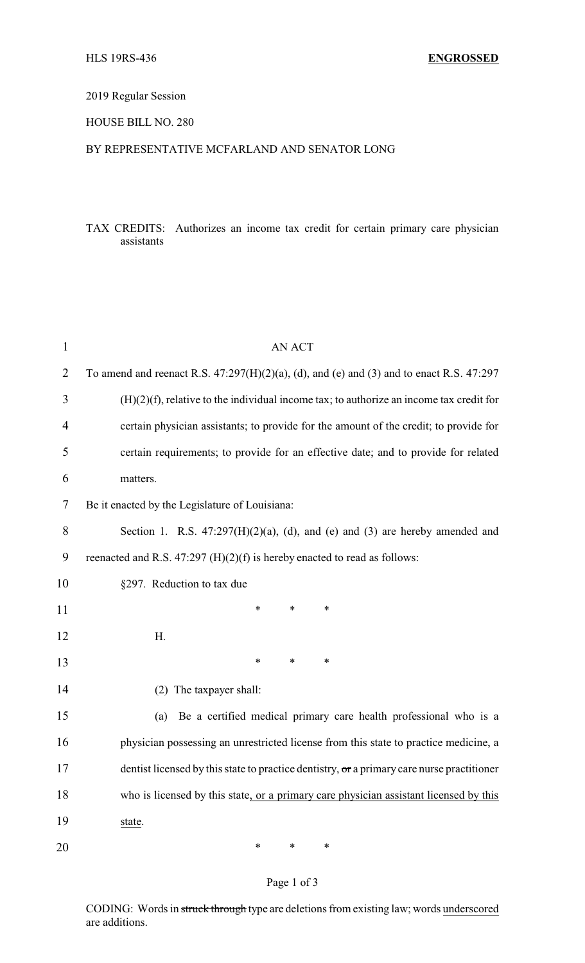### 2019 Regular Session

### HOUSE BILL NO. 280

#### BY REPRESENTATIVE MCFARLAND AND SENATOR LONG

### TAX CREDITS: Authorizes an income tax credit for certain primary care physician assistants

| $\mathbf{1}$   | AN ACT                                                                                        |
|----------------|-----------------------------------------------------------------------------------------------|
| $\overline{2}$ | To amend and reenact R.S. $47:297(H)(2)(a)$ , (d), and (e) and (3) and to enact R.S. $47:297$ |
| 3              | $(H)(2)(f)$ , relative to the individual income tax; to authorize an income tax credit for    |
| 4              | certain physician assistants; to provide for the amount of the credit; to provide for         |
| 5              | certain requirements; to provide for an effective date; and to provide for related            |
| 6              | matters.                                                                                      |
| 7              | Be it enacted by the Legislature of Louisiana:                                                |
| 8              | Section 1. R.S. $47:297(H)(2)(a)$ , (d), and (e) and (3) are hereby amended and               |
| 9              | reenacted and R.S. 47:297 (H)(2)(f) is hereby enacted to read as follows:                     |
| 10             | §297. Reduction to tax due                                                                    |
| 11             | *<br>∗<br>*                                                                                   |
| 12             | Η.                                                                                            |
| 13             | $\ast$<br>$\ast$<br>∗                                                                         |
| 14             | (2) The taxpayer shall:                                                                       |
| 15             | Be a certified medical primary care health professional who is a<br>(a)                       |
| 16             | physician possessing an unrestricted license from this state to practice medicine, a          |
| 17             | dentist licensed by this state to practice dentistry, or a primary care nurse practitioner    |
| 18             | who is licensed by this state, or a primary care physician assistant licensed by this         |
| 19             | state.                                                                                        |
| 20             | ∗<br>∗<br>∗                                                                                   |

# Page 1 of 3

CODING: Words in struck through type are deletions from existing law; words underscored are additions.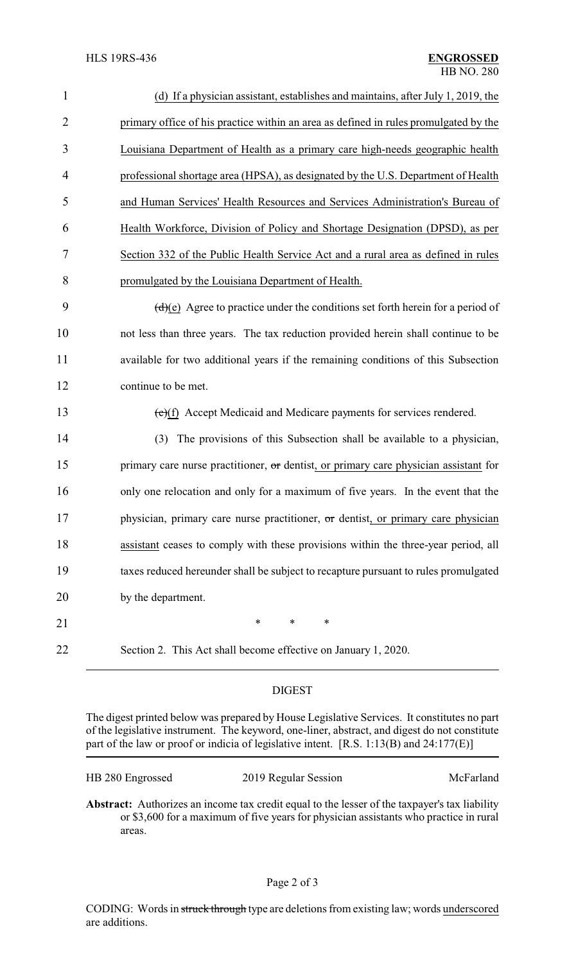| $\mathbf{1}$   | (d) If a physician assistant, establishes and maintains, after July 1, 2019, the     |
|----------------|--------------------------------------------------------------------------------------|
| $\overline{2}$ | primary office of his practice within an area as defined in rules promulgated by the |
| 3              | Louisiana Department of Health as a primary care high-needs geographic health        |
| 4              | professional shortage area (HPSA), as designated by the U.S. Department of Health    |
| 5              | and Human Services' Health Resources and Services Administration's Bureau of         |
| 6              | Health Workforce, Division of Policy and Shortage Designation (DPSD), as per         |
| 7              | Section 332 of the Public Health Service Act and a rural area as defined in rules    |
| 8              | promulgated by the Louisiana Department of Health.                                   |
| 9              | $(d)(e)$ Agree to practice under the conditions set forth herein for a period of     |
| 10             | not less than three years. The tax reduction provided herein shall continue to be    |
| 11             | available for two additional years if the remaining conditions of this Subsection    |
| 12             | continue to be met.                                                                  |
| 13             | $(e)(f)$ Accept Medicaid and Medicare payments for services rendered.                |
| 14             | The provisions of this Subsection shall be available to a physician,<br>(3)          |
| 15             | primary care nurse practitioner, or dentist, or primary care physician assistant for |
| 16             | only one relocation and only for a maximum of five years. In the event that the      |
| 17             | physician, primary care nurse practitioner, or dentist, or primary care physician    |
| 18             | assistant ceases to comply with these provisions within the three-year period, all   |
| 19             | taxes reduced hereunder shall be subject to recapture pursuant to rules promulgated  |
| 20             | by the department.                                                                   |
| 21             | $\ast$<br>$\ast$<br>$\ast$                                                           |
| 22             | Section 2. This Act shall become effective on January 1, 2020.                       |
|                |                                                                                      |

## DIGEST

The digest printed below was prepared by House Legislative Services. It constitutes no part of the legislative instrument. The keyword, one-liner, abstract, and digest do not constitute part of the law or proof or indicia of legislative intent. [R.S. 1:13(B) and 24:177(E)]

| HB 280 Engrossed | 2019 Regular Session | McFarland |
|------------------|----------------------|-----------|
|------------------|----------------------|-----------|

**Abstract:** Authorizes an income tax credit equal to the lesser of the taxpayer's tax liability or \$3,600 for a maximum of five years for physician assistants who practice in rural areas.